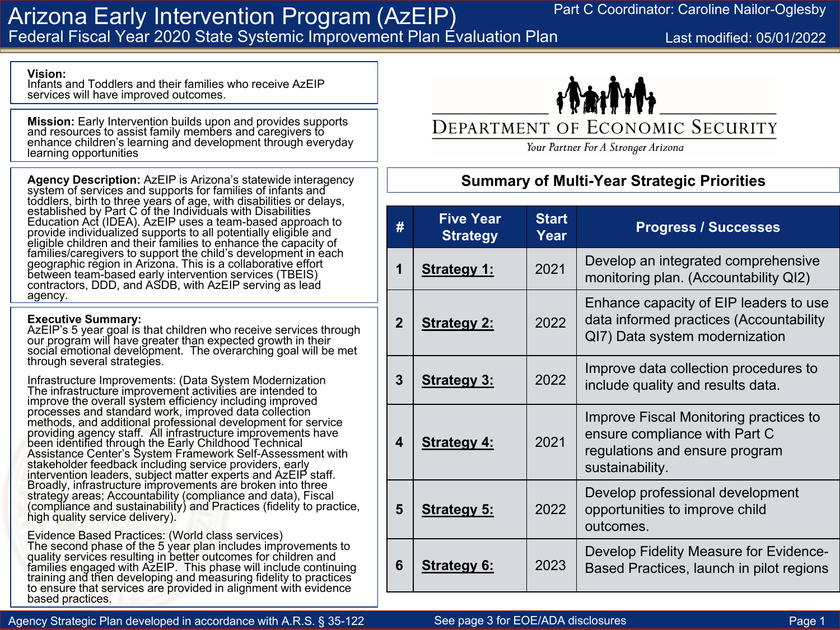## Arizona Early Intervention Program (AzEIP) Federal Fiscal Year 2020 State Systemic Improvement Plan Evaluation Plan

Last modified: 05/01/2022

#### **Vision:**

Infants and Toddlers and their families who receive AzEIP services will have improved outcomes.

**Mission:** Early Intervention builds upon and provides supports and resources to assist family members and caregivers to enhance children's learning and development through everyday learning opportunities

**Agency Description:** AzEIP is Arizona's statewide interagency system of services and supports for families of infants and toddlers, birth to three years of age, with disabilities or delays, established by Part C of the Individuals with Disabilities<br>Education Act (IDEA). AzEIP uses a team-based approach to provide individualized supports to all potentially eligible and eligible children and their families to enhance the capacity of families/caregivers to support the child's development in each geographic region in Arizona. This is a collaborative effort contractors, DDD, and ASDB, with AzEIP serving as lead agency.

#### **Executive Summary:**

AzEIP's 5 year goal is that children who receive services through our program will have greater than expected growth in their social emotional development. The overarching goal will be met through several strategies.

Infrastructure Improvements: (Data System Modernization The infrastructure improvement activities are intended to improve the overall system efficiency including improved processes and standard work, improved data collection methods, and additional professional development for service providing agency staff. All infrastructure improvements have been identified through the Early Childhood Technical Assistance Center's System Framework Self-Assessment with stakeholder feedback including service providers, early intervention leaders, subject matter experts and AzEIP staff. Broadly, infrastructure improvements are broken into three strategy areas; Accountability (compliance and data), Fiscal (compliance and sustainability) and Practices (fidelity to practice, high quality service delivery).

Evidence Based Practices: (World class services)<br>The second phase of the 5 year plan includes improvements to quality services resulting in better outcomes for children and families engaged with AzEIP. This phase will include continuing training and then developing and measuring fidelity to practices to ensure that services are provided in alignment with evidence based practices.



DEPARTMENT OF ECONOMIC SECURITY

Your Partner For A Stronger Arizona

### **Summary of Multi-Year Strategic Priorities**

| #              | <b>Five Year</b><br><b>Strategy</b> | <b>Start</b><br>Year | <b>Progress / Successes</b>                                                                                                  |
|----------------|-------------------------------------|----------------------|------------------------------------------------------------------------------------------------------------------------------|
| 1              | <b>Strategy 1:</b>                  | 2021                 | Develop an integrated comprehensive<br>monitoring plan. (Accountability QI2)                                                 |
| $\overline{2}$ | <b>Strategy 2:</b>                  | 2022                 | Enhance capacity of EIP leaders to use<br>data informed practices (Accountability<br>QI7) Data system modernization          |
| 3              | <b>Strategy 3:</b>                  | 2022                 | Improve data collection procedures to<br>include quality and results data.                                                   |
| 4              | <b>Strategy 4:</b>                  | 2021                 | Improve Fiscal Monitoring practices to<br>ensure compliance with Part C<br>regulations and ensure program<br>sustainability. |
| 5              | <b>Strategy 5:</b>                  | 2022                 | Develop professional development<br>opportunities to improve child<br>outcomes.                                              |
| 6              | <b>Strategy 6:</b>                  | 2023                 | Develop Fidelity Measure for Evidence-<br>Based Practices, launch in pilot regions                                           |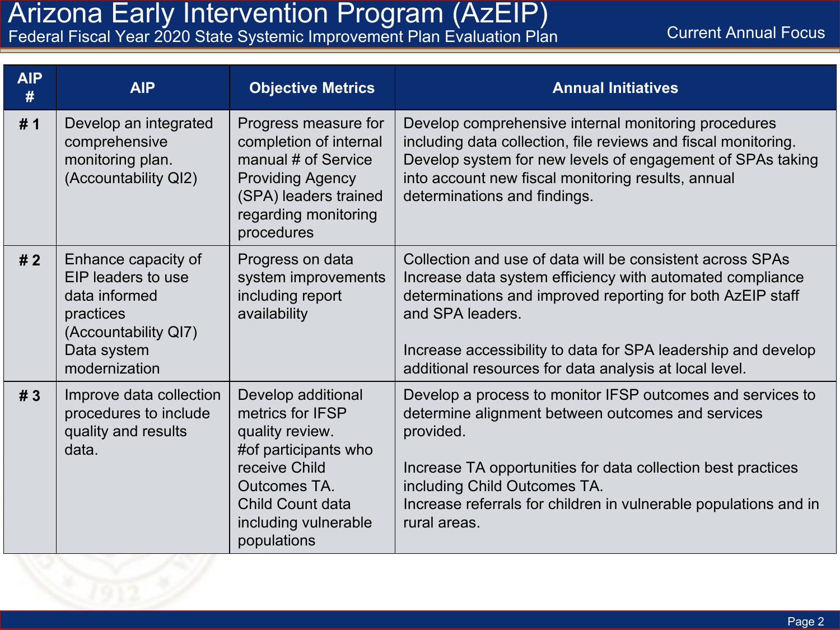**Current Annual Focus** 

| Federal Fiscal Year 2020 State Systemic Improvement Plan Evaluation Plan |  |  |
|--------------------------------------------------------------------------|--|--|

| <b>AIP</b><br># | <b>AIP</b>                                                                                                                                                                                                                                                               | <b>Objective Metrics</b>                                                                                                                                        | <b>Annual Initiatives</b>                                                                                                                                                                                                                                                                                                           |
|-----------------|--------------------------------------------------------------------------------------------------------------------------------------------------------------------------------------------------------------------------------------------------------------------------|-----------------------------------------------------------------------------------------------------------------------------------------------------------------|-------------------------------------------------------------------------------------------------------------------------------------------------------------------------------------------------------------------------------------------------------------------------------------------------------------------------------------|
| #1              | Develop an integrated<br>comprehensive<br>monitoring plan.<br>(Accountability QI2)                                                                                                                                                                                       | Progress measure for<br>completion of internal<br>manual # of Service<br><b>Providing Agency</b><br>(SPA) leaders trained<br>regarding monitoring<br>procedures | Develop comprehensive internal monitoring procedures<br>including data collection, file reviews and fiscal monitoring.<br>Develop system for new levels of engagement of SPAs taking<br>into account new fiscal monitoring results, annual<br>determinations and findings.                                                          |
| #2              | Enhance capacity of<br>EIP leaders to use<br>data informed<br>practices<br>(Accountability QI7)<br>Data system<br>modernization                                                                                                                                          | Progress on data<br>system improvements<br>including report<br>availability                                                                                     | Collection and use of data will be consistent across SPAs<br>Increase data system efficiency with automated compliance<br>determinations and improved reporting for both AzEIP staff<br>and SPA leaders.<br>Increase accessibility to data for SPA leadership and develop<br>additional resources for data analysis at local level. |
| # 3             | Improve data collection<br>Develop additional<br>procedures to include<br>metrics for IFSP<br>quality and results<br>quality review.<br>#of participants who<br>data.<br>receive Child<br>Outcomes TA.<br><b>Child Count data</b><br>including vulnerable<br>populations |                                                                                                                                                                 | Develop a process to monitor IFSP outcomes and services to<br>determine alignment between outcomes and services<br>provided.<br>Increase TA opportunities for data collection best practices<br>including Child Outcomes TA.<br>Increase referrals for children in vulnerable populations and in<br>rural areas.                    |